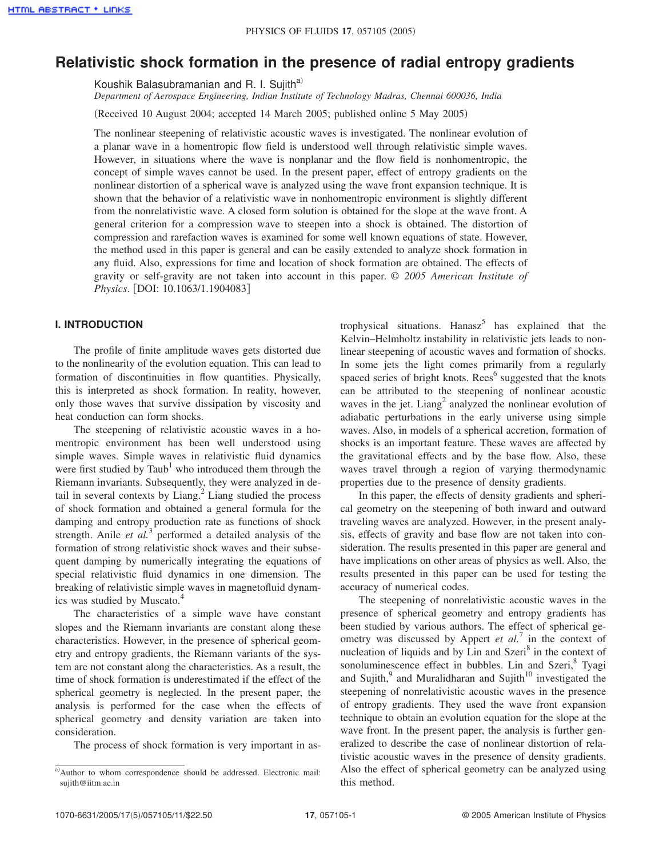# **Relativistic shock formation in the presence of radial entropy gradients**

Koushik Balasubramanian and R. I. Sujith<sup>a)</sup>

*Department of Aerospace Engineering, Indian Institute of Technology Madras, Chennai 600036, India*

(Received 10 August 2004; accepted 14 March 2005; published online 5 May 2005)

The nonlinear steepening of relativistic acoustic waves is investigated. The nonlinear evolution of a planar wave in a homentropic flow field is understood well through relativistic simple waves. However, in situations where the wave is nonplanar and the flow field is nonhomentropic, the concept of simple waves cannot be used. In the present paper, effect of entropy gradients on the nonlinear distortion of a spherical wave is analyzed using the wave front expansion technique. It is shown that the behavior of a relativistic wave in nonhomentropic environment is slightly different from the nonrelativistic wave. A closed form solution is obtained for the slope at the wave front. A general criterion for a compression wave to steepen into a shock is obtained. The distortion of compression and rarefaction waves is examined for some well known equations of state. However, the method used in this paper is general and can be easily extended to analyze shock formation in any fluid. Also, expressions for time and location of shock formation are obtained. The effects of gravity or self-gravity are not taken into account in this paper. © *2005 American Institute of Physics.* [DOI: 10.1063/1.1904083]

# **I. INTRODUCTION**

The profile of finite amplitude waves gets distorted due to the nonlinearity of the evolution equation. This can lead to formation of discontinuities in flow quantities. Physically, this is interpreted as shock formation. In reality, however, only those waves that survive dissipation by viscosity and heat conduction can form shocks.

The steepening of relativistic acoustic waves in a homentropic environment has been well understood using simple waves. Simple waves in relativistic fluid dynamics were first studied by Taub<sup>1</sup> who introduced them through the Riemann invariants. Subsequently, they were analyzed in detail in several contexts by  $\text{Liang.}^2$   $\text{Liang}$  studied the process of shock formation and obtained a general formula for the damping and entropy production rate as functions of shock strength. Anile *et al.*<sup>3</sup> performed a detailed analysis of the formation of strong relativistic shock waves and their subsequent damping by numerically integrating the equations of special relativistic fluid dynamics in one dimension. The breaking of relativistic simple waves in magnetofluid dynamics was studied by Muscato.<sup>4</sup>

The characteristics of a simple wave have constant slopes and the Riemann invariants are constant along these characteristics. However, in the presence of spherical geometry and entropy gradients, the Riemann variants of the system are not constant along the characteristics. As a result, the time of shock formation is underestimated if the effect of the spherical geometry is neglected. In the present paper, the analysis is performed for the case when the effects of spherical geometry and density variation are taken into consideration.

The process of shock formation is very important in as-

trophysical situations. Hanasz<sup>5</sup> has explained that the Kelvin–Helmholtz instability in relativistic jets leads to nonlinear steepening of acoustic waves and formation of shocks. In some jets the light comes primarily from a regularly spaced series of bright knots. Rees<sup>6</sup> suggested that the knots can be attributed to the steepening of nonlinear acoustic waves in the jet. Liang<sup>2</sup> analyzed the nonlinear evolution of adiabatic perturbations in the early universe using simple waves. Also, in models of a spherical accretion, formation of shocks is an important feature. These waves are affected by the gravitational effects and by the base flow. Also, these waves travel through a region of varying thermodynamic properties due to the presence of density gradients.

In this paper, the effects of density gradients and spherical geometry on the steepening of both inward and outward traveling waves are analyzed. However, in the present analysis, effects of gravity and base flow are not taken into consideration. The results presented in this paper are general and have implications on other areas of physics as well. Also, the results presented in this paper can be used for testing the accuracy of numerical codes.

The steepening of nonrelativistic acoustic waves in the presence of spherical geometry and entropy gradients has been studied by various authors. The effect of spherical geometry was discussed by Appert *et al.*<sup>7</sup> in the context of nucleation of liquids and by Lin and Szeri<sup>8</sup> in the context of sonoluminescence effect in bubbles. Lin and Szeri, <sup>8</sup> Tyagi and Sujith,<sup>9</sup> and Muralidharan and Sujith<sup>10</sup> investigated the steepening of nonrelativistic acoustic waves in the presence of entropy gradients. They used the wave front expansion technique to obtain an evolution equation for the slope at the wave front. In the present paper, the analysis is further generalized to describe the case of nonlinear distortion of relativistic acoustic waves in the presence of density gradients. Also the effect of spherical geometry can be analyzed using this method.

a)Author to whom correspondence should be addressed. Electronic mail: sujith@iitm.ac.in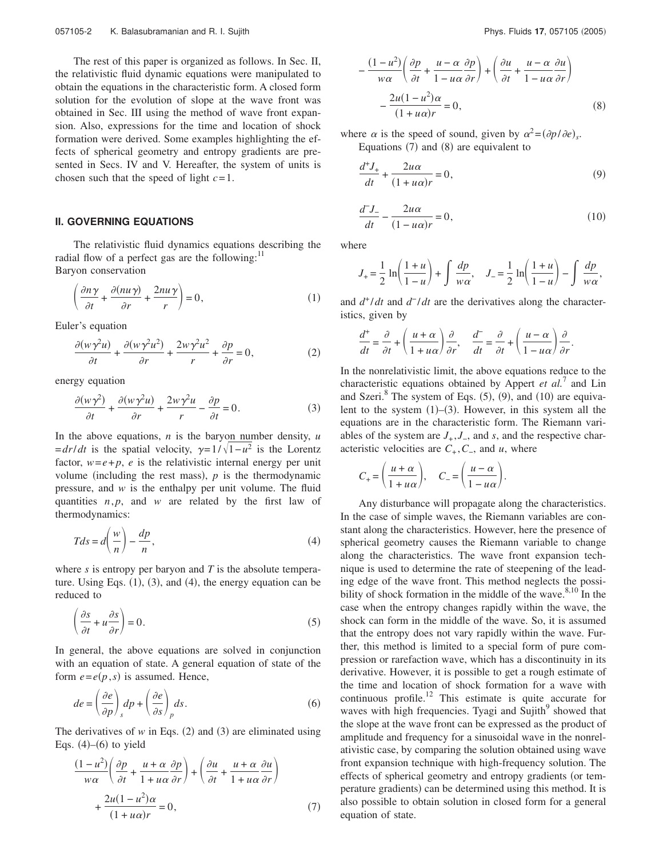The rest of this paper is organized as follows. In Sec. II, the relativistic fluid dynamic equations were manipulated to obtain the equations in the characteristic form. A closed form solution for the evolution of slope at the wave front was obtained in Sec. III using the method of wave front expansion. Also, expressions for the time and location of shock formation were derived. Some examples highlighting the effects of spherical geometry and entropy gradients are presented in Secs. IV and V. Hereafter, the system of units is chosen such that the speed of light *c*=1.

### **II. GOVERNING EQUATIONS**

The relativistic fluid dynamics equations describing the radial flow of a perfect gas are the following: $<sup>11</sup>$ </sup> Baryon conservation

 $\left(\frac{\partial n\gamma}{\partial t}\right)$  $\frac{\partial n\gamma}{\partial t} + \frac{\partial (nu\gamma)}{\partial r}$  $\frac{p(u \gamma)}{\partial r} + \frac{2nu \gamma}{r}$  $\left(\frac{u\gamma}{r}\right) = 0,$ (1)

Euler's equation

$$
\frac{\partial (w\gamma^2 u)}{\partial t} + \frac{\partial (w\gamma^2 u^2)}{\partial r} + \frac{2w\gamma^2 u^2}{r} + \frac{\partial p}{\partial r} = 0,
$$
 (2)

energy equation

$$
\frac{\partial(w\gamma^2)}{\partial t} + \frac{\partial(w\gamma^2 u)}{\partial r} + \frac{2w\gamma^2 u}{r} - \frac{\partial p}{\partial t} = 0.
$$
 (3)

In the above equations, *n* is the baryon number density, *u*  $= dr/dt$  is the spatial velocity,  $\gamma = 1/\sqrt{1 - u^2}$  is the Lorentz factor,  $w = e + p$ , *e* is the relativistic internal energy per unit volume (including the rest mass),  $p$  is the thermodynamic pressure, and *w* is the enthalpy per unit volume. The fluid quantities *n*, *p*, and *w* are related by the first law of thermodynamics:

$$
Tds = d\left(\frac{w}{n}\right) - \frac{dp}{n},\tag{4}
$$

where *s* is entropy per baryon and *T* is the absolute temperature. Using Eqs.  $(1)$ ,  $(3)$ , and  $(4)$ , the energy equation can be reduced to

$$
\left(\frac{\partial s}{\partial t} + u \frac{\partial s}{\partial r}\right) = 0.
$$
\n(5)

In general, the above equations are solved in conjunction with an equation of state. A general equation of state of the form  $e = e(p, s)$  is assumed. Hence,

$$
de = \left(\frac{\partial e}{\partial p}\right)_s dp + \left(\frac{\partial e}{\partial s}\right)_p ds.
$$
 (6)

The derivatives of  $w$  in Eqs. (2) and (3) are eliminated using Eqs.  $(4)$ – $(6)$  to yield

$$
\frac{(1 - u^2)}{w\alpha} \left( \frac{\partial p}{\partial t} + \frac{u + \alpha}{1 + u\alpha} \frac{\partial p}{\partial r} \right) + \left( \frac{\partial u}{\partial t} + \frac{u + \alpha}{1 + u\alpha} \frac{\partial u}{\partial r} \right) + \frac{2u(1 - u^2)\alpha}{(1 + u\alpha)r} = 0,
$$
\n(7)

$$
-\frac{(1-u^2)}{w\alpha}\left(\frac{\partial p}{\partial t} + \frac{u-\alpha}{1-u\alpha}\frac{\partial p}{\partial r}\right) + \left(\frac{\partial u}{\partial t} + \frac{u-\alpha}{1-u\alpha}\frac{\partial u}{\partial r}\right) -\frac{2u(1-u^2)\alpha}{(1+u\alpha)r} = 0,
$$
\n(8)

where  $\alpha$  is the speed of sound, given by  $\alpha^2 = (\partial p/\partial e)_s$ . Equations  $(7)$  and  $(8)$  are equivalent to

$$
\frac{d^+J_+}{dt} + \frac{2u\alpha}{(1+u\alpha)r} = 0,\tag{9}
$$

$$
\frac{d^2J_-}{dt} - \frac{2u\alpha}{(1 - u\alpha)r} = 0,\tag{10}
$$

where

$$
J_{+} = \frac{1}{2} \ln \left( \frac{1+u}{1-u} \right) + \int \frac{dp}{w\alpha}, \quad J_{-} = \frac{1}{2} \ln \left( \frac{1+u}{1-u} \right) - \int \frac{dp}{w\alpha},
$$

and  $d^+/dt$  and  $d^-/dt$  are the derivatives along the characteristics, given by

$$
\frac{d^+}{dt} = \frac{\partial}{\partial t} + \left(\frac{u+\alpha}{1+u\alpha}\right)\frac{\partial}{\partial r}, \quad \frac{d^-}{dt} = \frac{\partial}{\partial t} + \left(\frac{u-\alpha}{1-u\alpha}\right)\frac{\partial}{\partial r}.
$$

In the nonrelativistic limit, the above equations reduce to the characteristic equations obtained by Appert *et al.*<sup>7</sup> and Lin and Szeri. $8$  The system of Eqs. (5), (9), and (10) are equivalent to the system  $(1)$ – $(3)$ . However, in this system all the equations are in the characteristic form. The Riemann variables of the system are  $J_+, J_-,$  and *s*, and the respective characteristic velocities are  $C_+$ ,  $C_-$ , and  $u$ , where

$$
C_{+} = \left(\frac{u+\alpha}{1+u\alpha}\right), \quad C_{-} = \left(\frac{u-\alpha}{1-u\alpha}\right).
$$

Any disturbance will propagate along the characteristics. In the case of simple waves, the Riemann variables are constant along the characteristics. However, here the presence of spherical geometry causes the Riemann variable to change along the characteristics. The wave front expansion technique is used to determine the rate of steepening of the leading edge of the wave front. This method neglects the possibility of shock formation in the middle of the wave.  $8,10$  In the case when the entropy changes rapidly within the wave, the shock can form in the middle of the wave. So, it is assumed that the entropy does not vary rapidly within the wave. Further, this method is limited to a special form of pure compression or rarefaction wave, which has a discontinuity in its derivative. However, it is possible to get a rough estimate of the time and location of shock formation for a wave with continuous profile.<sup>12</sup> This estimate is quite accurate for waves with high frequencies. Tyagi and Sujith<sup>9</sup> showed that the slope at the wave front can be expressed as the product of amplitude and frequency for a sinusoidal wave in the nonrelativistic case, by comparing the solution obtained using wave front expansion technique with high-frequency solution. The effects of spherical geometry and entropy gradients (or temperature gradients) can be determined using this method. It is also possible to obtain solution in closed form for a general equation of state.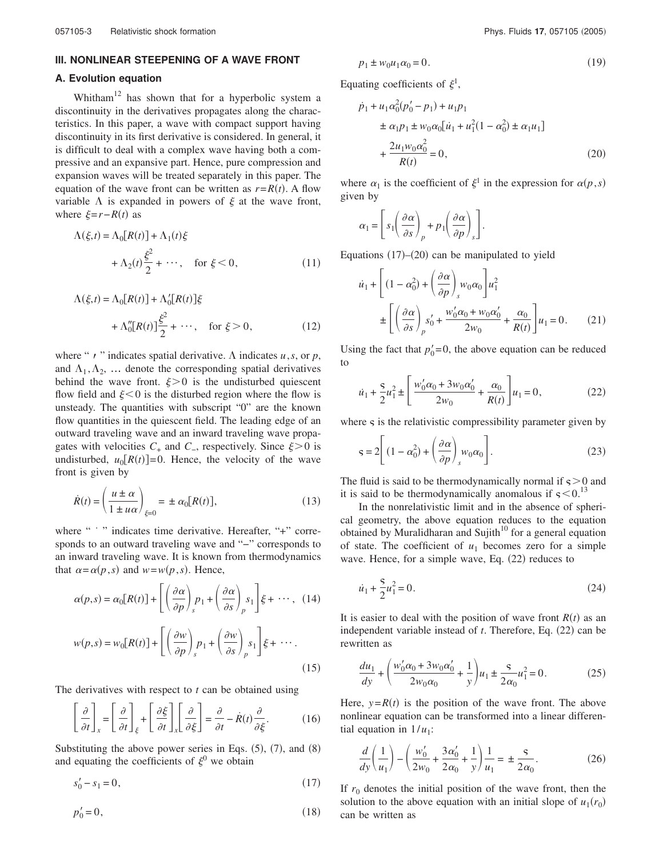# **III. NONLINEAR STEEPENING OF A WAVE FRONT**

## **A. Evolution equation**

Whitham<sup>12</sup> has shown that for a hyperbolic system a discontinuity in the derivatives propagates along the characteristics. In this paper, a wave with compact support having discontinuity in its first derivative is considered. In general, it is difficult to deal with a complex wave having both a compressive and an expansive part. Hence, pure compression and expansion waves will be treated separately in this paper. The equation of the wave front can be written as  $r=R(t)$ . A flow variable  $\Lambda$  is expanded in powers of  $\xi$  at the wave front, where  $\xi = r - R(t)$  as

$$
\Lambda(\xi, t) = \Lambda_0[R(t)] + \Lambda_1(t)\xi
$$
  
+ 
$$
\Lambda_2(t)\frac{\xi^2}{2} + \cdots, \text{ for } \xi < 0,
$$
 (11)

$$
\Lambda(\xi, t) = \Lambda_0[R(t)] + \Lambda'_0[R(t)]\xi
$$
  
+ 
$$
\Lambda''_0[R(t)]\frac{\xi^2}{2} + \cdots, \quad \text{for } \xi > 0,
$$
 (12)

where " $\prime$  " indicates spatial derivative.  $\Lambda$  indicates  $u$ ,  $s$ , or  $p$ , and  $\Lambda_1, \Lambda_2, \ldots$  denote the corresponding spatial derivatives behind the wave front.  $\xi > 0$  is the undisturbed quiescent flow field and  $\xi$ <0 is the disturbed region where the flow is unsteady. The quantities with subscript "0" are the known flow quantities in the quiescent field. The leading edge of an outward traveling wave and an inward traveling wave propagates with velocities  $C_+$  and  $C_-\$ , respectively. Since  $\xi>0$  is undisturbed,  $u_0[R(t)] = 0$ . Hence, the velocity of the wave front is given by

$$
\dot{R}(t) = \left(\frac{u \pm \alpha}{1 \pm u\alpha}\right)_{\xi=0} = \pm \alpha_0 [R(t)],\tag{13}
$$

where " " " indicates time derivative. Hereafter, "+" corresponds to an outward traveling wave and "−" corresponds to an inward traveling wave. It is known from thermodynamics that  $\alpha = \alpha(p, s)$  and  $w = w(p, s)$ . Hence,

$$
\alpha(p,s) = \alpha_0[R(t)] + \left[ \left( \frac{\partial \alpha}{\partial p} \right)_s p_1 + \left( \frac{\partial \alpha}{\partial s} \right)_p s_1 \right] \xi + \cdots, (14)
$$
  

$$
w(p,s) = w_0[R(t)] + \left[ \left( \frac{\partial w}{\partial p} \right)_s p_1 + \left( \frac{\partial w}{\partial s} \right)_p s_1 \right] \xi + \cdots.
$$
 (15)

The derivatives with respect to *t* can be obtained using

$$
\left[\frac{\partial}{\partial t}\right]_{x} = \left[\frac{\partial}{\partial t}\right]_{\xi} + \left[\frac{\partial \xi}{\partial t}\right]_{x} \left[\frac{\partial}{\partial \xi}\right] = \frac{\partial}{\partial t} - \dot{R}(t)\frac{\partial}{\partial \xi}.
$$
 (16)

Substituting the above power series in Eqs.  $(5)$ ,  $(7)$ , and  $(8)$ and equating the coefficients of  $\xi^0$  we obtain

$$
s'_0 - s_1 = 0,\t\t(17)
$$

$$
p'_0 = 0,\t\t(18)
$$

$$
p_1 \pm w_0 u_1 \alpha_0 = 0. \tag{19}
$$

Equating coefficients of  $\xi^1$ ,

$$
\dot{p}_1 + u_1 \alpha_0^2 (p'_0 - p_1) + u_1 p_1
$$
  
\n
$$
\pm \alpha_1 p_1 \pm w_0 \alpha_0 [u_1 + u_1^2 (1 - \alpha_0^2) \pm \alpha_1 u_1]
$$
  
\n
$$
+ \frac{2u_1 w_0 \alpha_0^2}{R(t)} = 0,
$$
\n(20)

where  $\alpha_1$  is the coefficient of  $\xi^1$  in the expression for  $\alpha(p,s)$ given by

$$
\alpha_1 = \left[ s_1 \left( \frac{\partial \alpha}{\partial s} \right)_p + p_1 \left( \frac{\partial \alpha}{\partial p} \right)_s \right].
$$

Equations  $(17)$ – $(20)$  can be manipulated to yield

$$
\dot{u}_1 + \left[ (1 - \alpha_0^2) + \left( \frac{\partial \alpha}{\partial p} \right)_s w_0 \alpha_0 \right] u_1^2
$$
  

$$
\pm \left[ \left( \frac{\partial \alpha}{\partial s} \right)_p s'_0 + \frac{w'_0 \alpha_0 + w_0 \alpha'_0}{2w_0} + \frac{\alpha_0}{R(t)} \right] u_1 = 0. \tag{21}
$$

Using the fact that  $p'_0 = 0$ , the above equation can be reduced to

$$
\dot{u}_1 + \frac{S}{2}u_1^2 \pm \left[ \frac{w_0' \alpha_0 + 3w_0 \alpha_0'}{2w_0} + \frac{\alpha_0}{R(t)} \right] u_1 = 0, \tag{22}
$$

where  $\varsigma$  is the relativistic compressibility parameter given by

$$
\mathbf{s} = 2 \left[ \left( 1 - \alpha_0^2 \right) + \left( \frac{\partial \alpha}{\partial p} \right)_s w_0 \alpha_0 \right]. \tag{23}
$$

The fluid is said to be thermodynamically normal if  $\varsigma > 0$  and it is said to be thermodynamically anomalous if  $\varsigma$  < 0.<sup>13</sup>

In the nonrelativistic limit and in the absence of spherical geometry, the above equation reduces to the equation obtained by Muralidharan and Sujith $10$  for a general equation of state. The coefficient of  $u_1$  becomes zero for a simple wave. Hence, for a simple wave, Eq.  $(22)$  reduces to

$$
\dot{u}_1 + \frac{S}{2}u_1^2 = 0.
$$
 (24)

It is easier to deal with the position of wave front  $R(t)$  as an independent variable instead of  $t$ . Therefore, Eq.  $(22)$  can be rewritten as

$$
\frac{du_1}{dy} + \left(\frac{w'_0\alpha_0 + 3w_0\alpha'_0}{2w_0\alpha_0} + \frac{1}{y}\right)u_1 \pm \frac{S}{2\alpha_0}u_1^2 = 0.
$$
 (25)

Here,  $y=R(t)$  is the position of the wave front. The above nonlinear equation can be transformed into a linear differential equation in  $1/u_1$ :

$$
\frac{d}{dy}\left(\frac{1}{u_1}\right) - \left(\frac{w'_0}{2w_0} + \frac{3\alpha'_0}{2\alpha_0} + \frac{1}{y}\right)\frac{1}{u_1} = \pm \frac{s}{2\alpha_0}.
$$
 (26)

If  $r_0$  denotes the initial position of the wave front, then the solution to the above equation with an initial slope of  $u_1(r_0)$ can be written as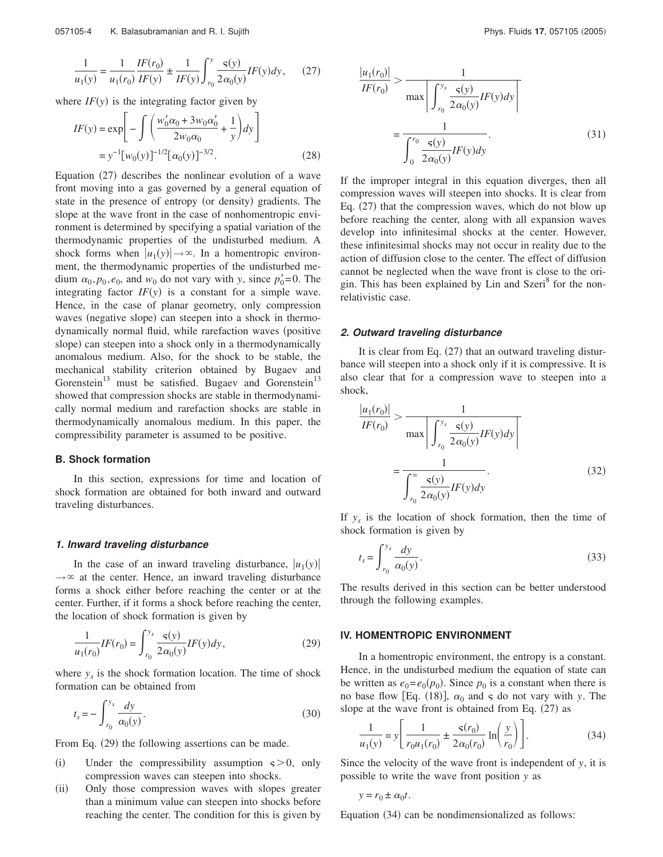$$
\frac{1}{u_1(y)} = \frac{1}{u_1(r_0)} \frac{IF(r_0)}{IF(y)} \pm \frac{1}{IF(y)} \int_{r_0}^{y} \frac{\varsigma(y)}{2\alpha_0(y)} IF(y) dy, \quad (27)
$$

where  $IF(y)$  is the integrating factor given by

$$
IF(y) = \exp\left[-\int \left(\frac{w'_0 \alpha_0 + 3w_0 \alpha'_0}{2w_0 \alpha_0} + \frac{1}{y}\right) dy\right]
$$
  
=  $y^{-1} [w_0(y)]^{-1/2} [\alpha_0(y)]^{-3/2}.$  (28)

Equation  $(27)$  describes the nonlinear evolution of a wave front moving into a gas governed by a general equation of state in the presence of entropy (or density) gradients. The slope at the wave front in the case of nonhomentropic environment is determined by specifying a spatial variation of the thermodynamic properties of the undisturbed medium. A shock forms when  $|u_1(y)| \to \infty$ . In a homentropic environment, the thermodynamic properties of the undisturbed medium  $\alpha_0, p_0, e_0$ , and  $w_0$  do not vary with *y*, since  $p'_0 = 0$ . The integrating factor  $IF(y)$  is a constant for a simple wave. Hence, in the case of planar geometry, only compression waves (negative slope) can steepen into a shock in thermodynamically normal fluid, while rarefaction waves (positive slope) can steepen into a shock only in a thermodynamically anomalous medium. Also, for the shock to be stable, the mechanical stability criterion obtained by Bugaev and Gorenstein<sup>13</sup> must be satisfied. Bugaev and Gorenstein<sup>13</sup> showed that compression shocks are stable in thermodynamically normal medium and rarefaction shocks are stable in thermodynamically anomalous medium. In this paper, the compressibility parameter is assumed to be positive.

#### **B. Shock formation**

In this section, expressions for time and location of shock formation are obtained for both inward and outward traveling disturbances.

#### **1. Inward traveling disturbance**

In the case of an inward traveling disturbance,  $|u_1(y)|$  $\rightarrow \infty$  at the center. Hence, an inward traveling disturbance forms a shock either before reaching the center or at the center. Further, if it forms a shock before reaching the center, the location of shock formation is given by

$$
\frac{1}{u_1(r_0)}IF(r_0) = \int_{r_0}^{y_s} \frac{s(y)}{2\alpha_0(y)} IF(y)dy,
$$
\n(29)

where  $y_s$  is the shock formation location. The time of shock formation can be obtained from

$$
t_s = -\int_{r_0}^{y_s} \frac{dy}{\alpha_0(y)}.
$$
 (30)

From Eq.  $(29)$  the following assertions can be made.

- (i) Under the compressibility assumption  $s > 0$ , only compression waves can steepen into shocks.
- (ii) Only those compression waves with slopes greater than a minimum value can steepen into shocks before reaching the center. The condition for this is given by

$$
\frac{|u_1(r_0)|}{IF(r_0)} > \frac{1}{\max\left|\int_{r_0}^{y_s} \frac{s(y)}{2\alpha_0(y)}IF(y)dy\right|}
$$

$$
= \frac{1}{\int_{0}^{r_0} \frac{s(y)}{2\alpha_0(y)}IF(y)dy}.
$$
(31)

If the improper integral in this equation diverges, then all compression waves will steepen into shocks. It is clear from Eq.  $(27)$  that the compression waves, which do not blow up before reaching the center, along with all expansion waves develop into infinitesimal shocks at the center. However, these infinitesimal shocks may not occur in reality due to the action of diffusion close to the center. The effect of diffusion cannot be neglected when the wave front is close to the origin. This has been explained by Lin and Szeri<sup>8</sup> for the nonrelativistic case.

### **2. Outward traveling disturbance**

It is clear from Eq.  $(27)$  that an outward traveling disturbance will steepen into a shock only if it is compressive. It is also clear that for a compression wave to steepen into a shock,

$$
\frac{|u_1(r_0)|}{IF(r_0)} > \frac{1}{\max\left|\int_{r_0}^{y_s} \frac{s(y)}{2\alpha_0(y)} IF(y)dy\right|}
$$

$$
= \frac{1}{\int_{r_0}^{\infty} \frac{s(y)}{2\alpha_0(y)} IF(y)dy}.
$$
(32)

If  $y_s$  is the location of shock formation, then the time of shock formation is given by

$$
t_s = \int_{r_0}^{y_s} \frac{dy}{\alpha_0(y)}.
$$
\n(33)

The results derived in this section can be better understood through the following examples.

#### **IV. HOMENTROPIC ENVIRONMENT**

In a homentropic environment, the entropy is a constant. Hence, in the undisturbed medium the equation of state can be written as  $e_0 = e_0(p_0)$ . Since  $p_0$  is a constant when there is no base flow [Eq. (18)],  $\alpha_0$  and  $\varsigma$  do not vary with *y*. The slope at the wave front is obtained from Eq.  $(27)$  as

$$
\frac{1}{u_1(y)} = y \left[ \frac{1}{r_0 u_1(r_0)} + \frac{\varsigma(r_0)}{2 \alpha_0(r_0)} \ln \left( \frac{y}{r_0} \right) \right].
$$
 (34)

Since the velocity of the wave front is independent of *y*, it is possible to write the wave front position *y* as

$$
y = r_0 \pm \alpha_0 t.
$$

Equation  $(34)$  can be nondimensionalized as follows: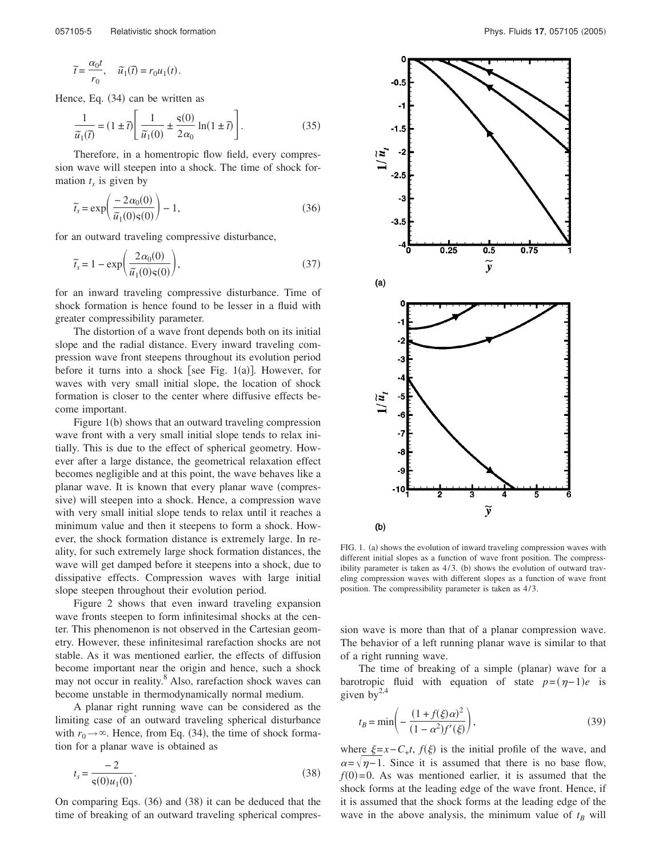$$
\widetilde{t} = \frac{\alpha_0 t}{r_0}, \quad \widetilde{u}_1(\widetilde{t}) = r_0 u_1(t).
$$

Hence, Eq.  $(34)$  can be written as

$$
\frac{1}{\widetilde{u}_1(\widetilde{t})} = (1 \pm \widetilde{t}) \left[ \frac{1}{\widetilde{u}_1(0)} \pm \frac{\varsigma(0)}{2\alpha_0} \ln(1 \pm \widetilde{t}) \right].
$$
 (35)

Therefore, in a homentropic flow field, every compression wave will steepen into a shock. The time of shock formation  $t_s$  is given by

$$
\tilde{t}_s = \exp\left(\frac{-2\alpha_0(0)}{\tilde{u}_1(0)\varsigma(0)}\right) - 1,\tag{36}
$$

for an outward traveling compressive disturbance,

$$
\tilde{t}_s = 1 - \exp\left(\frac{2\alpha_0(0)}{\tilde{u}_1(0)\varsigma(0)}\right),\tag{37}
$$

for an inward traveling compressive disturbance. Time of shock formation is hence found to be lesser in a fluid with greater compressibility parameter.

The distortion of a wave front depends both on its initial slope and the radial distance. Every inward traveling compression wave front steepens throughout its evolution period before it turns into a shock see Fig. 1(a). However, for waves with very small initial slope, the location of shock formation is closer to the center where diffusive effects become important.

Figure  $1(b)$  shows that an outward traveling compression wave front with a very small initial slope tends to relax initially. This is due to the effect of spherical geometry. However after a large distance, the geometrical relaxation effect becomes negligible and at this point, the wave behaves like a planar wave. It is known that every planar wave (compressive) will steepen into a shock. Hence, a compression wave with very small initial slope tends to relax until it reaches a minimum value and then it steepens to form a shock. However, the shock formation distance is extremely large. In reality, for such extremely large shock formation distances, the wave will get damped before it steepens into a shock, due to dissipative effects. Compression waves with large initial slope steepen throughout their evolution period.

Figure 2 shows that even inward traveling expansion wave fronts steepen to form infinitesimal shocks at the center. This phenomenon is not observed in the Cartesian geometry. However, these infinitesimal rarefaction shocks are not stable. As it was mentioned earlier, the effects of diffusion become important near the origin and hence, such a shock may not occur in reality.<sup>8</sup> Also, rarefaction shock waves can become unstable in thermodynamically normal medium.

A planar right running wave can be considered as the limiting case of an outward traveling spherical disturbance with  $r_0 \rightarrow \infty$ . Hence, from Eq. (34), the time of shock formation for a planar wave is obtained as

$$
t_s = \frac{-2}{\mathsf{s}(0)u_1(0)}.\tag{38}
$$

On comparing Eqs.  $(36)$  and  $(38)$  it can be deduced that the time of breaking of an outward traveling spherical compres-



FIG. 1. (a) shows the evolution of inward traveling compression waves with different initial slopes as a function of wave front position. The compressibility parameter is taken as  $4/3$ . (b) shows the evolution of outward traveling compression waves with different slopes as a function of wave front position. The compressibility parameter is taken as 4/3.

sion wave is more than that of a planar compression wave. The behavior of a left running planar wave is similar to that of a right running wave.

The time of breaking of a simple (planar) wave for a barotropic fluid with equation of state  $p=(\eta-1)e$  is given by $^{2,4}$ 

$$
t_B = \min\left(-\frac{(1+f(\xi)\alpha)^2}{(1-\alpha^2)f'(\xi)}\right),\tag{39}
$$

where  $\xi = x - C_+ t$ ,  $f(\xi)$  is the initial profile of the wave, and  $\alpha = \sqrt{\eta-1}$ . Since it is assumed that there is no base flow,  $f(0)=0$ . As was mentioned earlier, it is assumed that the shock forms at the leading edge of the wave front. Hence, if it is assumed that the shock forms at the leading edge of the wave in the above analysis, the minimum value of  $t_B$  will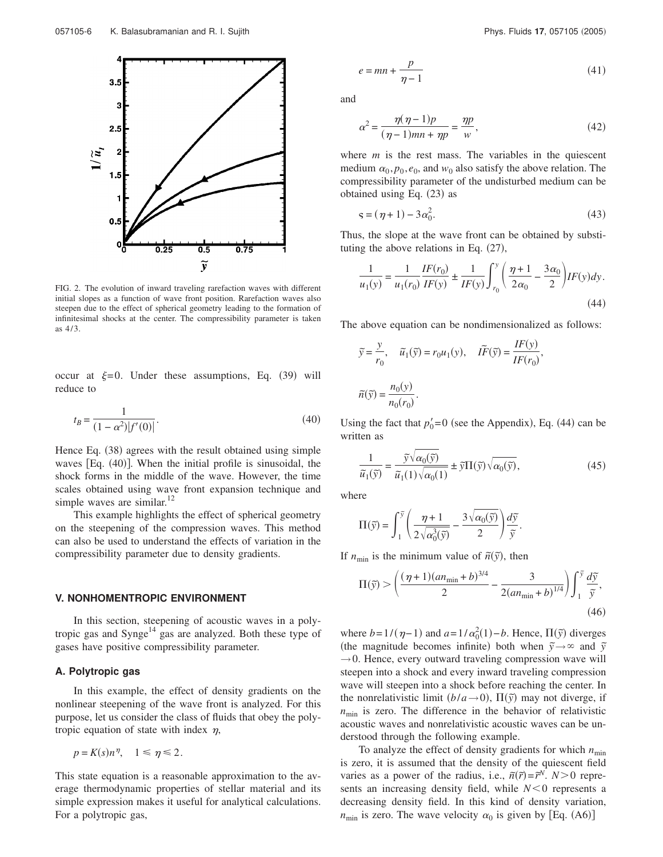

FIG. 2. The evolution of inward traveling rarefaction waves with different initial slopes as a function of wave front position. Rarefaction waves also steepen due to the effect of spherical geometry leading to the formation of infinitesimal shocks at the center. The compressibility parameter is taken as 4/3.

occur at  $\xi=0$ . Under these assumptions, Eq. (39) will reduce to

$$
t_B = \frac{1}{(1 - \alpha^2)|f'(0)|}.
$$
\n(40)

Hence Eq.  $(38)$  agrees with the result obtained using simple waves [Eq.  $(40)$ ]. When the initial profile is sinusoidal, the shock forms in the middle of the wave. However, the time scales obtained using wave front expansion technique and simple waves are similar. $^{12}$ 

This example highlights the effect of spherical geometry on the steepening of the compression waves. This method can also be used to understand the effects of variation in the compressibility parameter due to density gradients.

#### **V. NONHOMENTROPIC ENVIRONMENT**

In this section, steepening of acoustic waves in a polytropic gas and  $\text{Synge}^{14}$  gas are analyzed. Both these type of gases have positive compressibility parameter.

### **A. Polytropic gas**

In this example, the effect of density gradients on the nonlinear steepening of the wave front is analyzed. For this purpose, let us consider the class of fluids that obey the polytropic equation of state with index  $\eta$ ,

$$
p = K(s)n^{\eta}, \quad 1 \leq \eta \leq 2.
$$

This state equation is a reasonable approximation to the average thermodynamic properties of stellar material and its simple expression makes it useful for analytical calculations. For a polytropic gas,

$$
e = mn + \frac{p}{\eta - 1} \tag{41}
$$

and

$$
\alpha^2 = \frac{\eta(\eta - 1)p}{(\eta - 1)mn + \eta p} = \frac{\eta p}{w},\tag{42}
$$

where  $m$  is the rest mass. The variables in the quiescent medium  $\alpha_0, p_0, e_0$ , and  $w_0$  also satisfy the above relation. The compressibility parameter of the undisturbed medium can be obtained using Eq.  $(23)$  as

$$
\mathbf{s} = (\eta + 1) - 3\alpha_0^2. \tag{43}
$$

Thus, the slope at the wave front can be obtained by substituting the above relations in Eq.  $(27)$ ,

$$
\frac{1}{u_1(y)} = \frac{1}{u_1(r_0)} \frac{IF(r_0)}{IF(y)} \pm \frac{1}{IF(y)} \int_{r_0}^{y} \left(\frac{\eta + 1}{2\alpha_0} - \frac{3\alpha_0}{2}\right) IF(y)dy.
$$
\n(44)

The above equation can be nondimensionalized as follows:

$$
\widetilde{y} = \frac{y}{r_0}, \quad \widetilde{u}_1(\widetilde{y}) = r_0 u_1(y), \quad \widetilde{IF}(\widetilde{y}) = \frac{IF(y)}{IF(r_0)},
$$

$$
\widetilde{n}(\widetilde{y}) = \frac{n_0(y)}{n_0(r_0)}.
$$

Using the fact that  $p'_0 = 0$  (see the Appendix), Eq. (44) can be written as

$$
\frac{1}{\widetilde{u}_1(\widetilde{y})} = \frac{\widetilde{y}\sqrt{\alpha_0(\widetilde{y})}}{\widetilde{u}_1(1)\sqrt{\alpha_0(1)}} \pm \widetilde{y}\Pi(\widetilde{y})\sqrt{\alpha_0(\widetilde{y})},\tag{45}
$$

where

$$
\Pi(\widetilde{y}) = \int_1^{\widetilde{y}} \left( \frac{\eta + 1}{2\sqrt{\alpha_0^3(\widetilde{y})}} - \frac{3\sqrt{\alpha_0(\widetilde{y})}}{2} \right) \frac{d\widetilde{y}}{\widetilde{y}}.
$$

If  $n_{\min}$  is the minimum value of  $\tilde{n}(\tilde{y})$ , then

$$
\Pi(\tilde{y}) > \left(\frac{(\eta + 1)(an_{\min} + b)^{3/4}}{2} - \frac{3}{2(an_{\min} + b)^{1/4}}\right) \int_{1}^{\tilde{y}} \frac{d\tilde{y}}{\tilde{y}},
$$
\n(46)

where  $b=1/(\eta-1)$  and  $a=1/\alpha_0^2(1)-b$ . Hence,  $\Pi(\tilde{y})$  diverges (the magnitude becomes infinite) both when  $\tilde{y} \rightarrow \infty$  and  $\tilde{y}$  $\rightarrow$  0. Hence, every outward traveling compression wave will steepen into a shock and every inward traveling compression wave will steepen into a shock before reaching the center. In the nonrelativistic limit  $(b/a \rightarrow 0)$ ,  $\Pi(\tilde{y})$  may not diverge, if  $n_{\text{min}}$  is zero. The difference in the behavior of relativistic acoustic waves and nonrelativistic acoustic waves can be understood through the following example.

To analyze the effect of density gradients for which  $n_{\text{min}}$ is zero, it is assumed that the density of the quiescent field varies as a power of the radius, i.e.,  $\tilde{n}(\tilde{r}) = \tilde{r}^N$ .  $N > 0$  represents an increasing density field, while  $N < 0$  represents a decreasing density field. In this kind of density variation,  $n_{\text{min}}$  is zero. The wave velocity  $\alpha_0$  is given by [Eq. (A6)]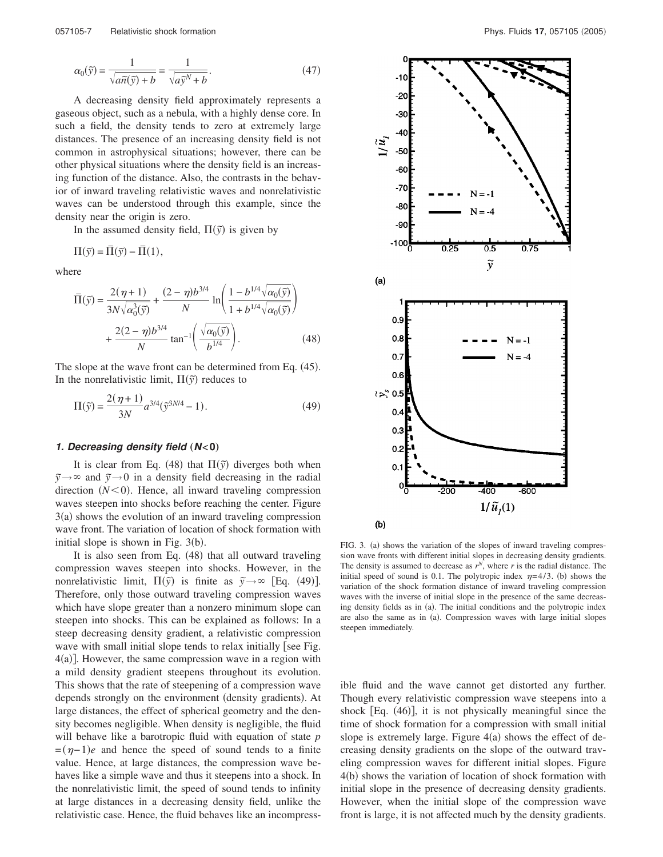$$
\alpha_0(\tilde{y}) = \frac{1}{\sqrt{a\tilde{n}(\tilde{y}) + b}} = \frac{1}{\sqrt{a\tilde{y}^N + b}}.\tag{47}
$$

A decreasing density field approximately represents a gaseous object, such as a nebula, with a highly dense core. In such a field, the density tends to zero at extremely large distances. The presence of an increasing density field is not common in astrophysical situations; however, there can be other physical situations where the density field is an increasing function of the distance. Also, the contrasts in the behavior of inward traveling relativistic waves and nonrelativistic waves can be understood through this example, since the density near the origin is zero.

In the assumed density field,  $\Pi(\tilde{y})$  is given by

$$
\Pi(\widetilde{y}) = \overline{\Pi}(\widetilde{y}) - \overline{\Pi}(1),
$$

where

$$
\overline{\Pi}(\tilde{y}) = \frac{2(\eta + 1)}{3N\sqrt{\alpha_0^3(\tilde{y})}} + \frac{(2 - \eta)b^{3/4}}{N} \ln\left(\frac{1 - b^{1/4}\sqrt{\alpha_0(\tilde{y})}}{1 + b^{1/4}\sqrt{\alpha_0(\tilde{y})}}\right) + \frac{2(2 - \eta)b^{3/4}}{N} \tan^{-1}\left(\frac{\sqrt{\alpha_0(\tilde{y})}}{b^{1/4}}\right).
$$
\n(48)

The slope at the wave front can be determined from Eq.  $(45)$ . In the nonrelativistic limit,  $\Pi(\tilde{y})$  reduces to

$$
\Pi(\tilde{y}) = \frac{2(\eta + 1)}{3N} a^{3/4} (\tilde{y}^{3N/4} - 1).
$$
 (49)

#### **1.** Decreasing density field  $(N<0)$

It is clear from Eq. (48) that  $\Pi(\tilde{y})$  diverges both when  $\tilde{y} \rightarrow \infty$  and  $\tilde{y} \rightarrow 0$  in a density field decreasing in the radial direction  $(N<0)$ . Hence, all inward traveling compression waves steepen into shocks before reaching the center. Figure  $3(a)$  shows the evolution of an inward traveling compression wave front. The variation of location of shock formation with initial slope is shown in Fig.  $3(b)$ .

It is also seen from Eq.  $(48)$  that all outward traveling compression waves steepen into shocks. However, in the nonrelativistic limit,  $\Pi(\tilde{y})$  is finite as  $\tilde{y} \rightarrow \infty$  [Eq. (49)]. Therefore, only those outward traveling compression waves which have slope greater than a nonzero minimum slope can steepen into shocks. This can be explained as follows: In a steep decreasing density gradient, a relativistic compression wave with small initial slope tends to relax initially [see Fig.  $4(a)$ ]. However, the same compression wave in a region with a mild density gradient steepens throughout its evolution. This shows that the rate of steepening of a compression wave depends strongly on the environment (density gradients). At large distances, the effect of spherical geometry and the density becomes negligible. When density is negligible, the fluid will behave like a barotropic fluid with equation of state *p*  $=(\eta-1)e$  and hence the speed of sound tends to a finite value. Hence, at large distances, the compression wave behaves like a simple wave and thus it steepens into a shock. In the nonrelativistic limit, the speed of sound tends to infinity at large distances in a decreasing density field, unlike the relativistic case. Hence, the fluid behaves like an incompress-



FIG. 3. (a) shows the variation of the slopes of inward traveling compression wave fronts with different initial slopes in decreasing density gradients. The density is assumed to decrease as  $r^N$ , where  $r$  is the radial distance. The initial speed of sound is 0.1. The polytropic index  $\eta=4/3$ . (b) shows the variation of the shock formation distance of inward traveling compression waves with the inverse of initial slope in the presence of the same decreasing density fields as in (a). The initial conditions and the polytropic index are also the same as in (a). Compression waves with large initial slopes steepen immediately.

ible fluid and the wave cannot get distorted any further. Though every relativistic compression wave steepens into a shock  $Eq. (46)$ , it is not physically meaningful since the time of shock formation for a compression with small initial slope is extremely large. Figure  $4(a)$  shows the effect of decreasing density gradients on the slope of the outward traveling compression waves for different initial slopes. Figure  $4(b)$  shows the variation of location of shock formation with initial slope in the presence of decreasing density gradients. However, when the initial slope of the compression wave front is large, it is not affected much by the density gradients.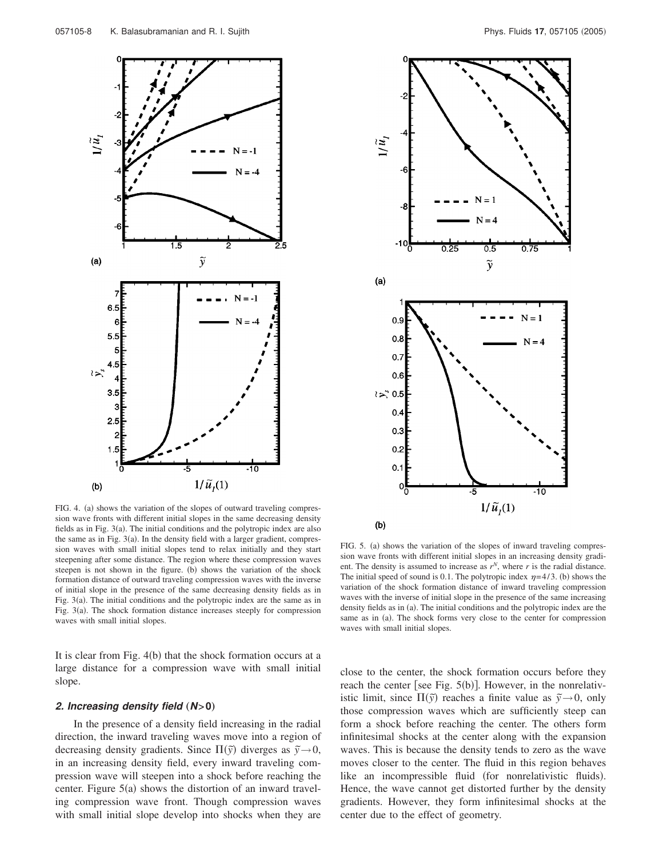

FIG. 4. (a) shows the variation of the slopes of outward traveling compression wave fronts with different initial slopes in the same decreasing density fields as in Fig.  $3(a)$ . The initial conditions and the polytropic index are also the same as in Fig.  $3(a)$ . In the density field with a larger gradient, compression waves with small initial slopes tend to relax initially and they start steepening after some distance. The region where these compression waves steepen is not shown in the figure. (b) shows the variation of the shock formation distance of outward traveling compression waves with the inverse of initial slope in the presence of the same decreasing density fields as in Fig.  $3(a)$ . The initial conditions and the polytropic index are the same as in Fig.  $3(a)$ . The shock formation distance increases steeply for compression waves with small initial slopes.

It is clear from Fig.  $4(b)$  that the shock formation occurs at a large distance for a compression wave with small initial slope.

### **2. Increasing density field** "**N>0**…

In the presence of a density field increasing in the radial direction, the inward traveling waves move into a region of decreasing density gradients. Since  $\Pi(\tilde{y})$  diverges as  $\tilde{y} \rightarrow 0$ , in an increasing density field, every inward traveling compression wave will steepen into a shock before reaching the center. Figure  $5(a)$  shows the distortion of an inward traveling compression wave front. Though compression waves with small initial slope develop into shocks when they are



FIG. 5. (a) shows the variation of the slopes of inward traveling compression wave fronts with different initial slopes in an increasing density gradient. The density is assumed to increase as  $r^N$ , where r is the radial distance. The initial speed of sound is 0.1. The polytropic index  $\eta=4/3$ . (b) shows the variation of the shock formation distance of inward traveling compression waves with the inverse of initial slope in the presence of the same increasing density fields as in (a). The initial conditions and the polytropic index are the same as in (a). The shock forms very close to the center for compression waves with small initial slopes.

close to the center, the shock formation occurs before they reach the center [see Fig.  $5(b)$ ]. However, in the nonrelativistic limit, since  $\Pi(\tilde{y})$  reaches a finite value as  $\tilde{y} \rightarrow 0$ , only those compression waves which are sufficiently steep can form a shock before reaching the center. The others form infinitesimal shocks at the center along with the expansion waves. This is because the density tends to zero as the wave moves closer to the center. The fluid in this region behaves like an incompressible fluid (for nonrelativistic fluids). Hence, the wave cannot get distorted further by the density gradients. However, they form infinitesimal shocks at the center due to the effect of geometry.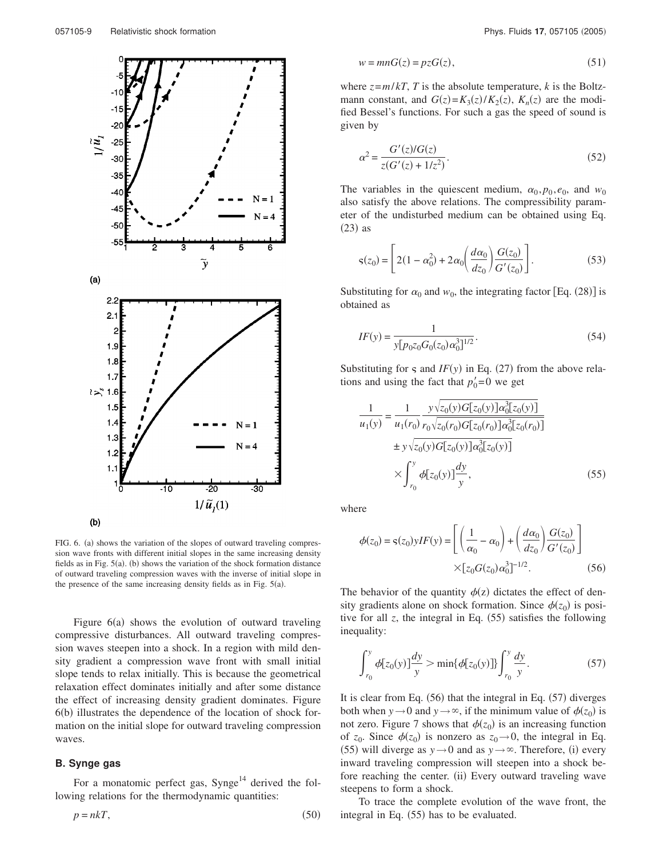

FIG. 6. (a) shows the variation of the slopes of outward traveling compression wave fronts with different initial slopes in the same increasing density fields as in Fig.  $5(a)$ . (b) shows the variation of the shock formation distance of outward traveling compression waves with the inverse of initial slope in the presence of the same increasing density fields as in Fig.  $5(a)$ .

Figure  $6(a)$  shows the evolution of outward traveling compressive disturbances. All outward traveling compression waves steepen into a shock. In a region with mild density gradient a compression wave front with small initial slope tends to relax initially. This is because the geometrical relaxation effect dominates initially and after some distance the effect of increasing density gradient dominates. Figure  $6<sub>(b)</sub>$  illustrates the dependence of the location of shock formation on the initial slope for outward traveling compression waves.

### **B. Synge gas**

For a monatomic perfect gas,  $\text{Synge}^{14}$  derived the following relations for the thermodynamic quantities:

$$
p = nkT,\tag{50}
$$

$$
w = mnG(z) = pzG(z),\tag{51}
$$

where  $z = m/kT$ , *T* is the absolute temperature, *k* is the Boltzmann constant, and  $G(z) = K_3(z)/K_2(z)$ ,  $K_n(z)$  are the modified Bessel's functions. For such a gas the speed of sound is given by

$$
\alpha^2 = \frac{G'(z)/G(z)}{z(G'(z) + 1/z^2)}.
$$
\n(52)

The variables in the quiescent medium,  $\alpha_0, p_0, e_0$ , and  $w_0$ also satisfy the above relations. The compressibility parameter of the undisturbed medium can be obtained using Eq.  $(23)$  as

$$
\varsigma(z_0) = \left[ 2(1 - \alpha_0^2) + 2\alpha_0 \left( \frac{d\alpha_0}{dz_0} \right) \frac{G(z_0)}{G'(z_0)} \right].
$$
 (53)

Substituting for  $\alpha_0$  and  $w_0$ , the integrating factor [Eq. (28)] is obtained as

$$
IF(y) = \frac{1}{y[p_0 z_0 G_0(z_0) \alpha_0^3]^{1/2}}.
$$
\n(54)

Substituting for  $\varsigma$  and *IF*(y) in Eq. (27) from the above relations and using the fact that  $p'_0 = 0$  we get

$$
\frac{1}{u_1(y)} = \frac{1}{u_1(r_0)} \frac{y\sqrt{z_0(y)G[z_0(y)]\alpha_0^3[z_0(y)]}}{r_0\sqrt{z_0(r_0)G[z_0(r_0)]\alpha_0^3[z_0(r_0)]}}
$$
  
\n
$$
\pm y\sqrt{z_0(y)G[z_0(y)]\alpha_0^3[z_0(y)]}
$$
  
\n
$$
\times \int_{r_0}^{y} \phi[z_0(y)] \frac{dy}{y},
$$
\n(55)

where

$$
\phi(z_0) = \varsigma(z_0) yIF(y) = \left[ \left( \frac{1}{\alpha_0} - \alpha_0 \right) + \left( \frac{d\alpha_0}{dz_0} \right) \frac{G(z_0)}{G'(z_0)} \right]
$$

$$
\times [z_0 G(z_0) \alpha_0^3]^{-1/2}.
$$
 (56)

The behavior of the quantity  $\phi(z)$  dictates the effect of density gradients alone on shock formation. Since  $\phi(z_0)$  is positive for all  $z$ , the integral in Eq.  $(55)$  satisfies the following inequality:

$$
\int_{r_0}^{y} \phi[z_0(y)] \frac{dy}{y} > \min\{\phi[z_0(y)]\} \int_{r_0}^{y} \frac{dy}{y}.
$$
 (57)

It is clear from Eq.  $(56)$  that the integral in Eq.  $(57)$  diverges both when *y*  $\rightarrow$  0 and *y*  $\rightarrow \infty$ , if the minimum value of  $\phi(z_0)$  is not zero. Figure 7 shows that  $\phi(z_0)$  is an increasing function of  $z_0$ . Since  $\phi(z_0)$  is nonzero as  $z_0 \rightarrow 0$ , the integral in Eq. (55) will diverge as  $y \rightarrow 0$  and as  $y \rightarrow \infty$ . Therefore, (i) every inward traveling compression will steepen into a shock before reaching the center. (ii) Every outward traveling wave steepens to form a shock.

To trace the complete evolution of the wave front, the integral in Eq.  $(55)$  has to be evaluated.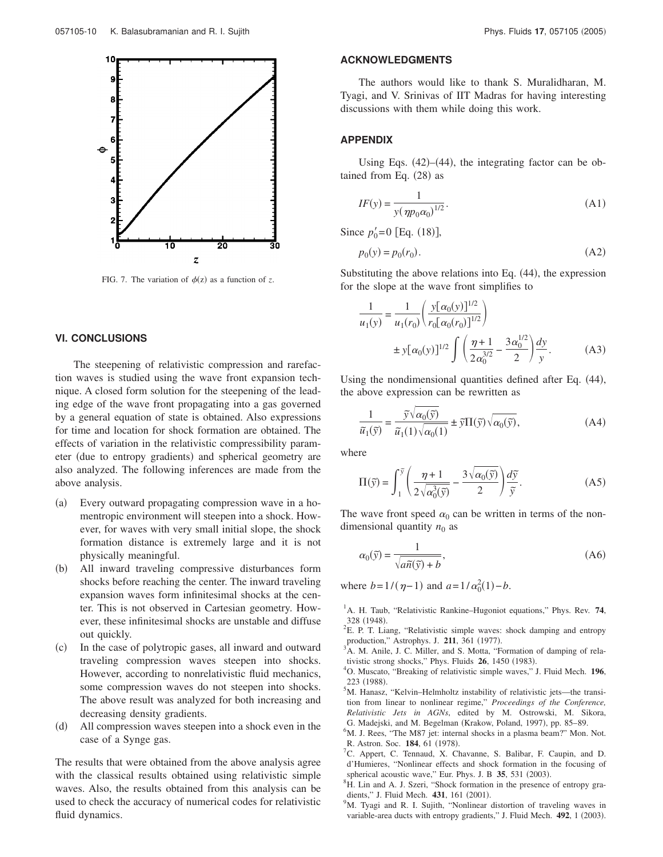

FIG. 7. The variation of  $\phi(z)$  as a function of z.

# **VI. CONCLUSIONS**

The steepening of relativistic compression and rarefaction waves is studied using the wave front expansion technique. A closed form solution for the steepening of the leading edge of the wave front propagating into a gas governed by a general equation of state is obtained. Also expressions for time and location for shock formation are obtained. The effects of variation in the relativistic compressibility parameter (due to entropy gradients) and spherical geometry are also analyzed. The following inferences are made from the above analysis.

- (a) Every outward propagating compression wave in a homentropic environment will steepen into a shock. However, for waves with very small initial slope, the shock formation distance is extremely large and it is not physically meaningful.
- (b) All inward traveling compressive disturbances form shocks before reaching the center. The inward traveling expansion waves form infinitesimal shocks at the center. This is not observed in Cartesian geometry. However, these infinitesimal shocks are unstable and diffuse out quickly.
- (c) In the case of polytropic gases, all inward and outward traveling compression waves steepen into shocks. However, according to nonrelativistic fluid mechanics, some compression waves do not steepen into shocks. The above result was analyzed for both increasing and decreasing density gradients.
- (d) All compression waves steepen into a shock even in the case of a Synge gas.

The results that were obtained from the above analysis agree with the classical results obtained using relativistic simple waves. Also, the results obtained from this analysis can be used to check the accuracy of numerical codes for relativistic fluid dynamics.

### **ACKNOWLEDGMENTS**

The authors would like to thank S. Muralidharan, M. Tyagi, and V. Srinivas of IIT Madras for having interesting discussions with them while doing this work.

#### **APPENDIX**

Using Eqs.  $(42)$ – $(44)$ , the integrating factor can be obtained from Eq.  $(28)$  as

$$
IF(y) = \frac{1}{y(\eta p_0 \alpha_0)^{1/2}}.
$$
\n(A1)

Since  $p'_0 = 0$  [Eq. (18)],

$$
p_0(y) = p_0(r_0). \tag{A2}
$$

Substituting the above relations into Eq.  $(44)$ , the expression for the slope at the wave front simplifies to

$$
\frac{1}{u_1(y)} = \frac{1}{u_1(r_0)} \left( \frac{y[\alpha_0(y)]^{1/2}}{r_0[\alpha_0(r_0)]^{1/2}} \right)
$$
  

$$
\pm y[\alpha_0(y)]^{1/2} \int \left( \frac{\eta + 1}{2\alpha_0^{3/2}} - \frac{3\alpha_0^{1/2}}{2} \right) \frac{dy}{y}.
$$
 (A3)

Using the nondimensional quantities defined after Eq.  $(44)$ , the above expression can be rewritten as

$$
\frac{1}{\widetilde{u}_1(\widetilde{y})} = \frac{\widetilde{y}\sqrt{\alpha_0(\widetilde{y})}}{\widetilde{u}_1(1)\sqrt{\alpha_0(1)}} \pm \widetilde{y}\Pi(\widetilde{y})\sqrt{\alpha_0(\widetilde{y})},
$$
\n(A4)

where

$$
\Pi(\widetilde{y}) = \int_1^{\widetilde{y}} \left( \frac{\eta + 1}{2\sqrt{\alpha_0^3(\widetilde{y})}} - \frac{3\sqrt{\alpha_0(\widetilde{y})}}{2} \right) \frac{d\widetilde{y}}{\widetilde{y}}.
$$
 (A5)

The wave front speed  $\alpha_0$  can be written in terms of the nondimensional quantity  $n_0$  as

$$
\alpha_0(\tilde{y}) = \frac{1}{\sqrt{a\tilde{n}(\tilde{y}) + b}},
$$
\n(A6)

where  $b=1/(\eta-1)$  and  $a=1/\alpha_0^2(1)-b$ .

- <sup>1</sup>A. H. Taub, "Relativistic Rankine–Hugoniot equations," Phys. Rev. 74, 328 (1948).
- ${}^{2}E$ . P. T. Liang, "Relativistic simple waves: shock damping and entropy production," Astrophys. J. 211, 361 (1977).
- <sup>3</sup>A. M. Anile, J. C. Miller, and S. Motta, "Formation of damping of relativistic strong shocks," Phys. Fluids **26**, 1450 (1983).
- <sup>4</sup>O. Muscato, "Breaking of relativistic simple waves," J. Fluid Mech. **196**, 223 (1988).
- <sup>5</sup>M. Hanasz, "Kelvin–Helmholtz instability of relativistic jets—the transition from linear to nonlinear regime," *Proceedings of the Conference, Relativistic Jets in AGNs*, edited by M. Ostrowski, M. Sikora, G. Madejski, and M. Begelman (Krakow, Poland, 1997), pp. 85–89.
- ${}^{6}$ M. J. Rees, "The M87 jet: internal shocks in a plasma beam?" Mon. Not. R. Astron. Soc. 184, 61 (1978).
- <sup>7</sup>C. Appert, C. Tennaud, X. Chavanne, S. Balibar, F. Caupin, and D. d'Humieres, "Nonlinear effects and shock formation in the focusing of spherical acoustic wave," Eur. Phys. J. B 35, 531 (2003).
- ${}^{8}$ H. Lin and A. J. Szeri, "Shock formation in the presence of entropy gradients," J. Fluid Mech. 431, 161 (2001).
- <sup>9</sup>M. Tyagi and R. I. Sujith, "Nonlinear distortion of traveling waves in variable-area ducts with entropy gradients," J. Fluid Mech. 492, 1 (2003).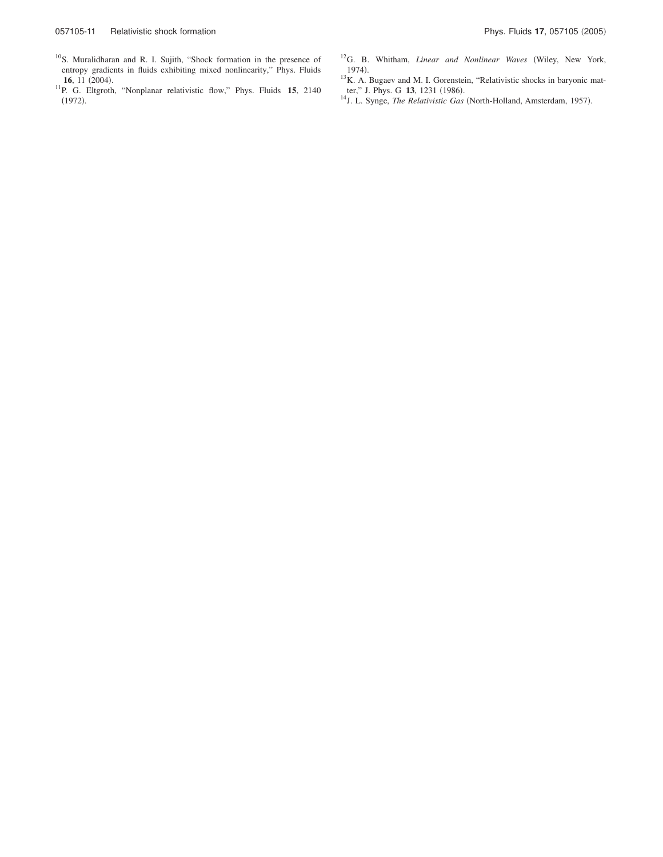- <sup>10</sup>S. Muralidharan and R. I. Sujith, "Shock formation in the presence of entropy gradients in fluids exhibiting mixed nonlinearity," Phys. Fluids **16**, 11 (2004).
- <sup>11</sup>P. G. Eltgroth, "Nonplanar relativistic flow," Phys. Fluids **15**, 2140  $(1972).$
- <sup>12</sup>G. B. Whitham, *Linear and Nonlinear Waves* (Wiley, New York,  $1974$ .
- $13K$ . A. Bugaev and M. I. Gorenstein, "Relativistic shocks in baryonic matter," J. Phys. G 13, 1231 (1986).
- <sup>14</sup>J. L. Synge, *The Relativistic Gas* (North-Holland, Amsterdam, 1957).